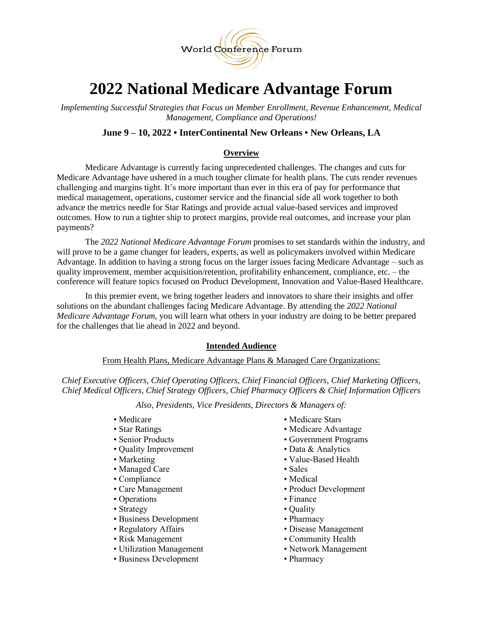

# **2022 National Medicare Advantage Forum**

*Implementing Successful Strategies that Focus on Member Enrollment, Revenue Enhancement, Medical Management, Compliance and Operations!*

# **June 9 – 10, 2022 • InterContinental New Orleans • New Orleans, LA**

# **Overview**

Medicare Advantage is currently facing unprecedented challenges. The changes and cuts for Medicare Advantage have ushered in a much tougher climate for health plans. The cuts render revenues challenging and margins tight. It's more important than ever in this era of pay for performance that medical management, operations, customer service and the financial side all work together to both advance the metrics needle for Star Ratings and provide actual value-based services and improved outcomes. How to run a tighter ship to protect margins, provide real outcomes, and increase your plan payments?

The *2022 National Medicare Advantage Forum* promises to set standards within the industry, and will prove to be a game changer for leaders, experts, as well as policymakers involved within Medicare Advantage. In addition to having a strong focus on the larger issues facing Medicare Advantage – such as quality improvement, member acquisition/retention, profitability enhancement, compliance, etc. – the conference will feature topics focused on Product Development, Innovation and Value-Based Healthcare.

In this premier event, we bring together leaders and innovators to share their insights and offer solutions on the abundant challenges facing Medicare Advantage. By attending the *2022 National Medicare Advantage Forum*, you will learn what others in your industry are doing to be better prepared for the challenges that lie ahead in 2022 and beyond.

## **Intended Audience**

From Health Plans, Medicare Advantage Plans & Managed Care Organizations:

*Chief Executive Officers, Chief Operating Officers, Chief Financial Officers, Chief Marketing Officers, Chief Medical Officers, Chief Strategy Officers, Chief Pharmacy Officers & Chief Information Officers*

*Also, Presidents, Vice Presidents, Directors & Managers of:*

- 
- 
- 
- Quality Improvement Data & Analytics
- 
- Managed Care Sales
- Compliance Medical
- 
- Operations Finance
- Strategy Quality
- Business Development Pharmacy
- 
- 
- Utilization Management Network Management
- Business Development Pharmacy
- Medicare Medicare Stars
- Star Ratings Medicare Advantage
- Senior Products Government Programs
	-
- Marketing Value-Based Health
	-
	-
- Care Management Product Development
	-
	-
	-
- Regulatory Affairs Disease Management
- Risk Management Community Health
	-
	-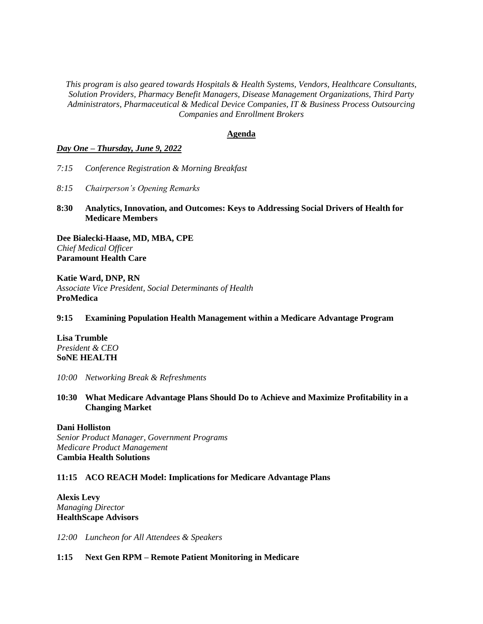*This program is also geared towards Hospitals & Health Systems, Vendors, Healthcare Consultants, Solution Providers, Pharmacy Benefit Managers, Disease Management Organizations, Third Party Administrators, Pharmaceutical & Medical Device Companies, IT & Business Process Outsourcing Companies and Enrollment Brokers*

#### **Agenda**

#### *Day One – Thursday, June 9, 2022*

- *7:15 Conference Registration & Morning Breakfast*
- *8:15 Chairperson's Opening Remarks*
- **8:30 Analytics, Innovation, and Outcomes: Keys to Addressing Social Drivers of Health for Medicare Members**

**Dee Bialecki-Haase, MD, MBA, CPE** *Chief Medical Officer* **Paramount Health Care**

**Katie Ward, DNP, RN** *Associate Vice President, Social Determinants of Health* **ProMedica**

## **9:15 Examining Population Health Management within a Medicare Advantage Program**

**Lisa Trumble** *President & CEO* **SoNE HEALTH**

*10:00 Networking Break & Refreshments* 

**10:30 What Medicare Advantage Plans Should Do to Achieve and Maximize Profitability in a Changing Market**

#### **Dani Holliston**

*Senior Product Manager, Government Programs Medicare Product Management* **Cambia Health Solutions**

#### **11:15 ACO REACH Model: Implications for Medicare Advantage Plans**

**Alexis Levy** *Managing Director* **HealthScape Advisors**

*12:00 Luncheon for All Attendees & Speakers*

#### **1:15 Next Gen RPM – Remote Patient Monitoring in Medicare**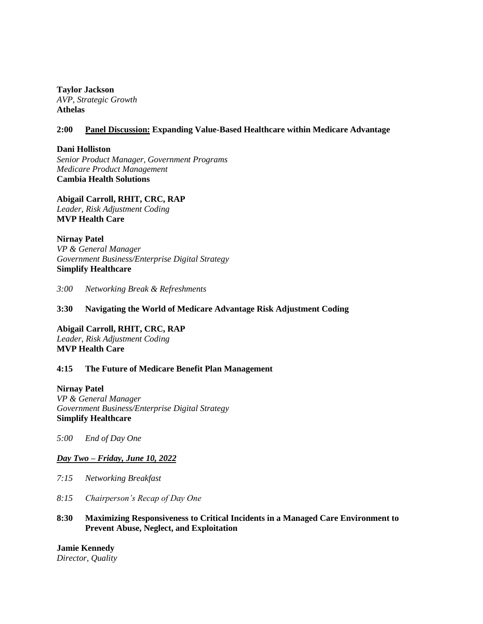**Taylor Jackson** *AVP, Strategic Growth* **Athelas**

# **2:00 Panel Discussion: Expanding Value-Based Healthcare within Medicare Advantage**

**Dani Holliston** *Senior Product Manager, Government Programs Medicare Product Management* **Cambia Health Solutions**

**Abigail Carroll, RHIT, CRC, RAP** *Leader, Risk Adjustment Coding* **MVP Health Care**

**Nirnay Patel** *VP & General Manager Government Business/Enterprise Digital Strategy* **Simplify Healthcare**

*3:00 Networking Break & Refreshments*

# **3:30 Navigating the World of Medicare Advantage Risk Adjustment Coding**

**Abigail Carroll, RHIT, CRC, RAP** *Leader, Risk Adjustment Coding* **MVP Health Care**

## **4:15 The Future of Medicare Benefit Plan Management**

**Nirnay Patel** *VP & General Manager Government Business/Enterprise Digital Strategy* **Simplify Healthcare**

*5:00 End of Day One*

## *Day Two – Friday, June 10, 2022*

- *7:15 Networking Breakfast*
- *8:15 Chairperson's Recap of Day One*
- **8:30 Maximizing Responsiveness to Critical Incidents in a Managed Care Environment to Prevent Abuse, Neglect, and Exploitation**

**Jamie Kennedy** *Director, Quality*